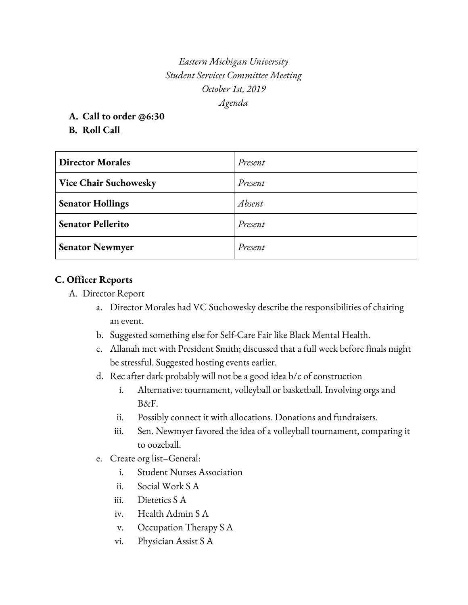*Eastern Michigan University Student Services Committee Meeting October 1st, 2019 Agenda*

**A. Call to order @6:30**

**B. Roll Call**

| <b>Director Morales</b>      | Present |
|------------------------------|---------|
| <b>Vice Chair Suchowesky</b> | Present |
| <b>Senator Hollings</b>      | Absent  |
| <b>Senator Pellerito</b>     | Present |
| <b>Senator Newmyer</b>       | Present |

# **C. Officer Reports**

- A. Director Report
	- a. Director Morales had VC Suchowesky describe the responsibilities of chairing an event.
	- b. Suggested something else for Self-Care Fair like Black Mental Health.
	- c. Allanah met with President Smith; discussed that a full week before finals might be stressful. Suggested hosting events earlier.
	- d. Rec after dark probably will not be a good idea b/c of construction
		- i. Alternative: tournament, volleyball or basketball. Involving orgs and B&F.
		- ii. Possibly connect it with allocations. Donations and fundraisers.
		- iii. Sen. Newmyer favored the idea of a volleyball tournament, comparing it to oozeball.
	- e. Create org list–General:
		- i. Student Nurses Association
		- ii. Social Work S A
		- iii. Dietetics S A
		- iv. Health Admin S A
		- v. Occupation Therapy S A
		- vi. Physician Assist S A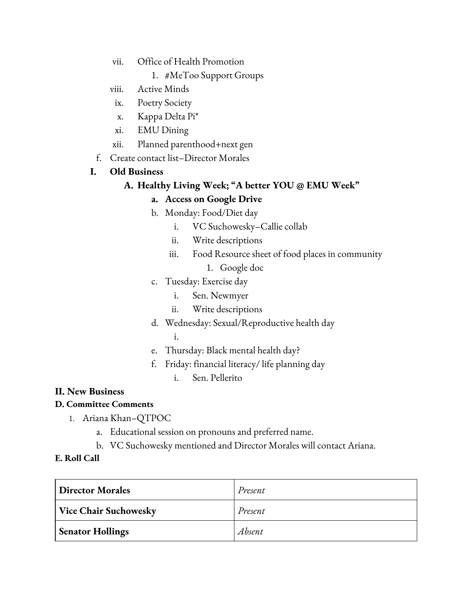- vii. Office of Health Promotion
	- 1. #MeToo Support Groups
- viii. Active Minds
- ix. Poetry Society
- x. Kappa Delta Pi\*
- xi. EMU Dining
- xii. Planned parenthood+next gen
- f. Create contact list–Director Morales

## **I. Old Business**

## **A. Healthy Living Week; "A better YOU @ EMU Week"**

## **a. Access on Google Drive**

- b. Monday: Food/Diet day
	- i. VC Suchowesky–Callie collab
	- ii. Write descriptions
	- iii. Food Resource sheet of food places in community
		- 1. Google doc
- c. Tuesday: Exercise day
	- i. Sen. Newmyer
	- ii. Write descriptions
- d. Wednesday: Sexual/Reproductive health day i.
- e. Thursday: Black mental health day?
- f. Friday: financial literacy/ life planning day
	- i. Sen. Pellerito

### **II. New Business**

### **D. Committee Comments**

- 1. Ariana Khan–QTPOC
	- a. Educational session on pronouns and preferred name.
	- b. VC Suchowesky mentioned and Director Morales will contact Ariana.

### **E. Roll Call**

| Director Morales        | Present |
|-------------------------|---------|
| Vice Chair Suchowesky   | Present |
| <b>Senator Hollings</b> | Absent  |